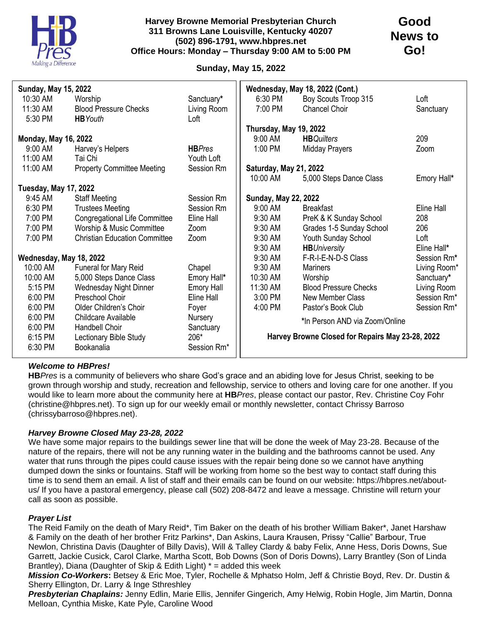

## **Harvey Browne Memorial Presbyterian Church 311 Browns Lane Louisville, Kentucky 40207 (502) 896-1791, www.hbpres.net Office Hours: Monday – Thursday 9:00 AM to 5:00 PM**

# **Sunday, May 15, 2022**

| <b>Sunday, May 15, 2022</b>  |                                      |                   | Wednesday, May 18, 2022 (Cont.)                  |                              |              |
|------------------------------|--------------------------------------|-------------------|--------------------------------------------------|------------------------------|--------------|
| 10:30 AM                     | Worship                              | Sanctuary*        | 6:30 PM                                          | Boy Scouts Troop 315         | Loft         |
| 11:30 AM                     | <b>Blood Pressure Checks</b>         | Living Room       | 7:00 PM                                          | Chancel Choir                | Sanctuary    |
| 5:30 PM                      | <b>HB</b> Youth                      | Loft              |                                                  |                              |              |
|                              |                                      |                   | Thursday, May 19, 2022                           |                              |              |
| <b>Monday, May 16, 2022</b>  |                                      |                   | 9:00 AM                                          | <b>HB</b> Quilters           | 209          |
| 9:00 AM                      | Harvey's Helpers                     | <b>HBPres</b>     | 1:00 PM                                          | <b>Midday Prayers</b>        | Zoom         |
| 11:00 AM                     | Tai Chi                              | Youth Loft        |                                                  |                              |              |
| 11:00 AM                     | <b>Property Committee Meeting</b>    | Session Rm        | Saturday, May 21, 2022                           |                              |              |
|                              |                                      |                   | 10:00 AM                                         | 5,000 Steps Dance Class      | Emory Hall*  |
| <b>Tuesday, May 17, 2022</b> |                                      |                   |                                                  |                              |              |
| 9:45 AM                      | <b>Staff Meeting</b>                 | Session Rm        | <b>Sunday, May 22, 2022</b>                      |                              |              |
| 6:30 PM                      | <b>Trustees Meeting</b>              | Session Rm        | 9:00 AM                                          | <b>Breakfast</b>             | Eline Hall   |
| 7:00 PM                      | <b>Congregational Life Committee</b> | Eline Hall        | 9:30 AM                                          | PreK & K Sunday School       | 208          |
| 7:00 PM                      | Worship & Music Committee            | Zoom              | 9:30 AM                                          | Grades 1-5 Sunday School     | 206          |
| 7:00 PM                      | <b>Christian Education Committee</b> | Zoom              | 9:30 AM                                          | Youth Sunday School          | Loft         |
|                              |                                      |                   | 9:30 AM                                          | <b>HBUniversity</b>          | Eline Hall*  |
| Wednesday, May 18, 2022      |                                      |                   | 9:30 AM                                          | F-R-I-E-N-D-S Class          | Session Rm*  |
| 10:00 AM                     | Funeral for Mary Reid                | Chapel            | 9:30 AM                                          | <b>Mariners</b>              | Living Room* |
| 10:00 AM                     | 5,000 Steps Dance Class              | Emory Hall*       | 10:30 AM                                         | Worship                      | Sanctuary*   |
| 5:15 PM                      | <b>Wednesday Night Dinner</b>        | <b>Emory Hall</b> | 11:30 AM                                         | <b>Blood Pressure Checks</b> | Living Room  |
| 6:00 PM                      | Preschool Choir                      | Eline Hall        | 3:00 PM                                          | <b>New Member Class</b>      | Session Rm*  |
| 6:00 PM                      | Older Children's Choir               | Foyer             | 4:00 PM                                          | Pastor's Book Club           | Session Rm*  |
| 6:00 PM                      | Childcare Available                  | Nursery           | *In Person AND via Zoom/Online                   |                              |              |
| 6:00 PM                      | Handbell Choir                       | Sanctuary         |                                                  |                              |              |
| 6:15 PM                      | Lectionary Bible Study               | 206*              | Harvey Browne Closed for Repairs May 23-28, 2022 |                              |              |
| 6:30 PM                      | Bookanalia                           | Session Rm*       |                                                  |                              |              |
|                              |                                      |                   |                                                  |                              |              |

## *Welcome to HBPres!*

**HB***Pres* is a community of believers who share God's grace and an abiding love for Jesus Christ, seeking to be grown through worship and study, recreation and fellowship, service to others and loving care for one another. If you would like to learn more about the community here at **HB***Pres*, please contact our pastor, Rev. Christine Coy Fohr (christine@hbpres.net). To sign up for our weekly email or monthly newsletter, contact Chrissy Barroso (chrissybarroso@hbpres.net).

### *Harvey Browne Closed May 23-28, 2022*

We have some major repairs to the buildings sewer line that will be done the week of May 23-28. Because of the nature of the repairs, there will not be any running water in the building and the bathrooms cannot be used. Any water that runs through the pipes could cause issues with the repair being done so we cannot have anything dumped down the sinks or fountains. Staff will be working from home so the best way to contact staff during this time is to send them an email. A list of staff and their emails can be found on our website: https://hbpres.net/aboutus/ If you have a pastoral emergency, please call (502) 208-8472 and leave a message. Christine will return your call as soon as possible.

### *Prayer List*

The Reid Family on the death of Mary Reid\*, Tim Baker on the death of his brother William Baker\*, Janet Harshaw & Family on the death of her brother Fritz Parkins\*, Dan Askins, Laura Krausen, Prissy "Callie" Barbour, True Newlon, Christina Davis (Daughter of Billy Davis), Will & Talley Clardy & baby Felix, Anne Hess, Doris Downs, Sue Garrett, Jackie Cusick, Carol Clarke, Martha Scott, Bob Downs (Son of Doris Downs), Larry Brantley (Son of Linda Brantley), Diana (Daughter of Skip & Edith Light) \* = added this week

*Mission Co-Workers***:** Betsey & Eric Moe, Tyler, Rochelle & Mphatso Holm, Jeff & Christie Boyd, Rev. Dr. Dustin & Sherry Ellington, Dr. Larry & Inge Sthreshley

*Presbyterian Chaplains:* Jenny Edlin, Marie Ellis, Jennifer Gingerich, Amy Helwig, Robin Hogle, Jim Martin, Donna Melloan, Cynthia Miske, Kate Pyle, Caroline Wood